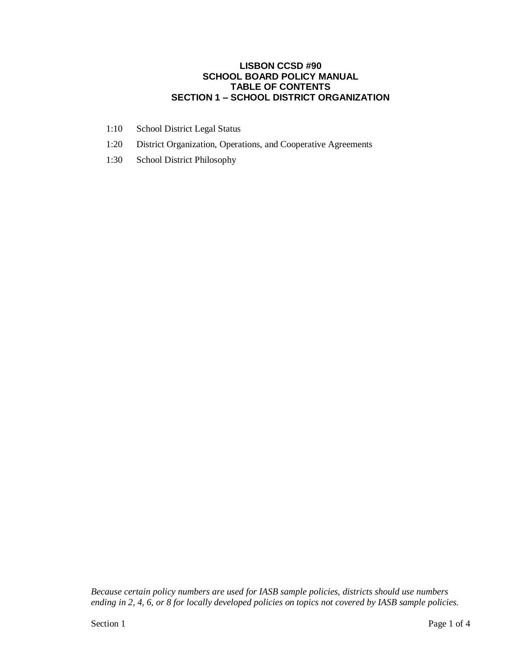#### **LISBON CCSD #90 SCHOOL BOARD POLICY MANUAL TABLE OF CONTENTS SECTION 1 – SCHOOL DISTRICT ORGANIZATION**

- 1:10 School District Legal Status
- 1:20 District Organization, Operations, and Cooperative Agreements
- 1:30 School District Philosophy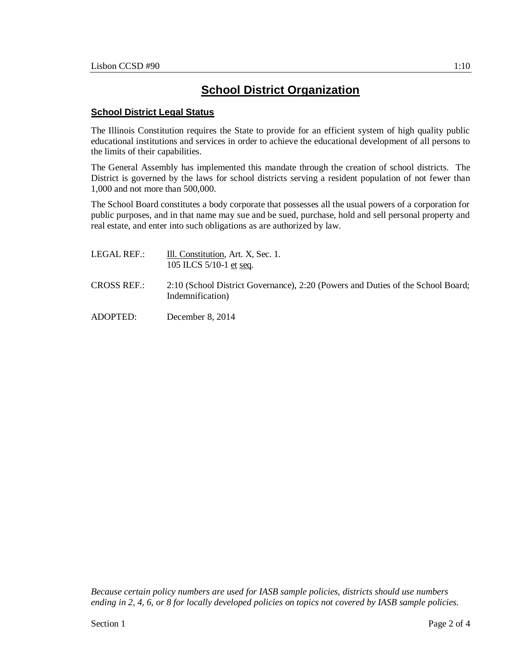#### **School District Legal Status**

The Illinois Constitution requires the State to provide for an efficient system of high quality public educational institutions and services in order to achieve the educational development of all persons to the limits of their capabilities.

The General Assembly has implemented this mandate through the creation of school districts. The District is governed by the laws for school districts serving a resident population of not fewer than 1,000 and not more than 500,000.

The School Board constitutes a body corporate that possesses all the usual powers of a corporation for public purposes, and in that name may sue and be sued, purchase, hold and sell personal property and real estate, and enter into such obligations as are authorized by law.

| LEGAL REF.:        | Ill. Constitution, Art. X, Sec. 1.<br>105 ILCS $5/10-1$ et seq.                                     |
|--------------------|-----------------------------------------------------------------------------------------------------|
| <b>CROSS REF.:</b> | 2:10 (School District Governance), 2:20 (Powers and Duties of the School Board;<br>Indemnification) |
| ADOPTED:           | December 8, $2014$                                                                                  |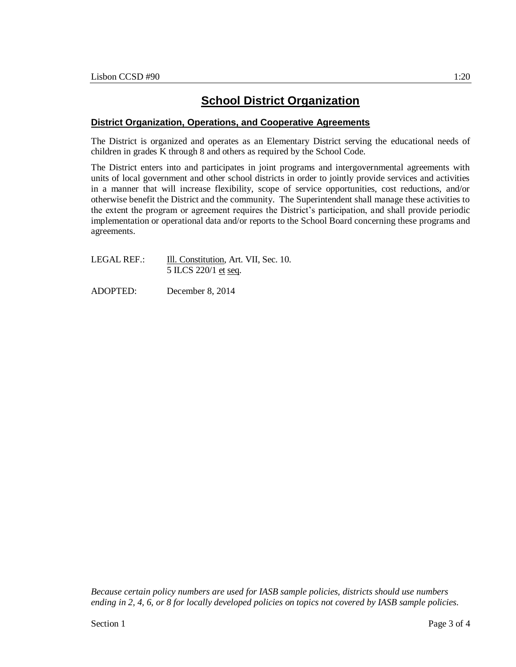## **School District Organization**

#### **District Organization, Operations, and Cooperative Agreements**

The District is organized and operates as an Elementary District serving the educational needs of children in grades K through 8 and others as required by the School Code.

The District enters into and participates in joint programs and intergovernmental agreements with units of local government and other school districts in order to jointly provide services and activities in a manner that will increase flexibility, scope of service opportunities, cost reductions, and/or otherwise benefit the District and the community. The Superintendent shall manage these activities to the extent the program or agreement requires the District's participation, and shall provide periodic implementation or operational data and/or reports to the School Board concerning these programs and agreements.

| LEGAL REF.: | Ill. Constitution, Art. VII, Sec. 10. |
|-------------|---------------------------------------|
|             | 5 ILCS 220/1 et seq.                  |

ADOPTED: December 8, 2014